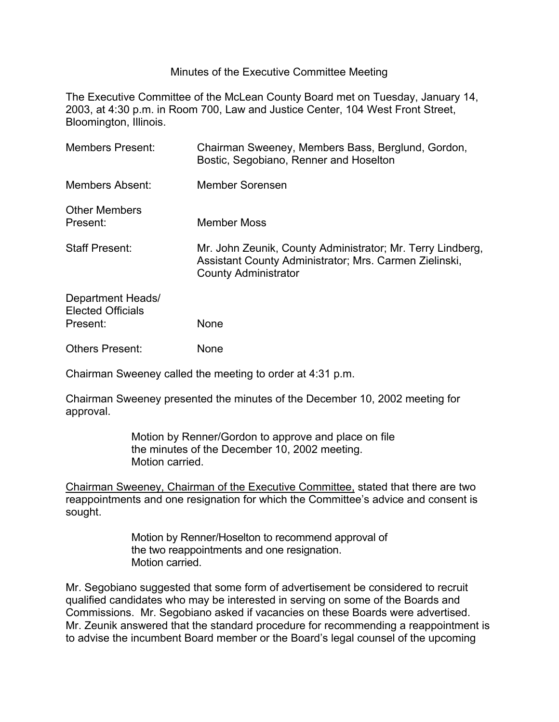## Minutes of the Executive Committee Meeting

The Executive Committee of the McLean County Board met on Tuesday, January 14, 2003, at 4:30 p.m. in Room 700, Law and Justice Center, 104 West Front Street, Bloomington, Illinois.

| <b>Members Present:</b>                                          | Chairman Sweeney, Members Bass, Berglund, Gordon,<br>Bostic, Segobiano, Renner and Hoselton                                                         |
|------------------------------------------------------------------|-----------------------------------------------------------------------------------------------------------------------------------------------------|
| Members Absent:                                                  | Member Sorensen                                                                                                                                     |
| <b>Other Members</b><br>Present:                                 | <b>Member Moss</b>                                                                                                                                  |
| <b>Staff Present:</b>                                            | Mr. John Zeunik, County Administrator; Mr. Terry Lindberg,<br>Assistant County Administrator; Mrs. Carmen Zielinski,<br><b>County Administrator</b> |
| <b>Department Heads/</b><br><b>Elected Officials</b><br>Present: | <b>None</b>                                                                                                                                         |
| <b>Others Present:</b>                                           | None                                                                                                                                                |

Chairman Sweeney called the meeting to order at 4:31 p.m.

Chairman Sweeney presented the minutes of the December 10, 2002 meeting for approval.

> Motion by Renner/Gordon to approve and place on file the minutes of the December 10, 2002 meeting. Motion carried.

Chairman Sweeney, Chairman of the Executive Committee, stated that there are two reappointments and one resignation for which the Committee's advice and consent is sought.

> Motion by Renner/Hoselton to recommend approval of the two reappointments and one resignation. Motion carried.

Mr. Segobiano suggested that some form of advertisement be considered to recruit qualified candidates who may be interested in serving on some of the Boards and Commissions. Mr. Segobiano asked if vacancies on these Boards were advertised. Mr. Zeunik answered that the standard procedure for recommending a reappointment is to advise the incumbent Board member or the Board's legal counsel of the upcoming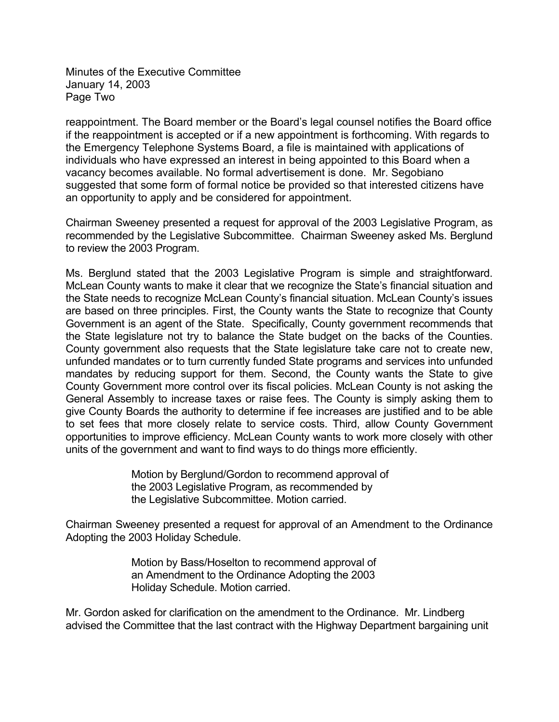Minutes of the Executive Committee January 14, 2003 Page Two

reappointment. The Board member or the Board's legal counsel notifies the Board office if the reappointment is accepted or if a new appointment is forthcoming. With regards to the Emergency Telephone Systems Board, a file is maintained with applications of individuals who have expressed an interest in being appointed to this Board when a vacancy becomes available. No formal advertisement is done. Mr. Segobiano suggested that some form of formal notice be provided so that interested citizens have an opportunity to apply and be considered for appointment.

Chairman Sweeney presented a request for approval of the 2003 Legislative Program, as recommended by the Legislative Subcommittee. Chairman Sweeney asked Ms. Berglund to review the 2003 Program.

Ms. Berglund stated that the 2003 Legislative Program is simple and straightforward. McLean County wants to make it clear that we recognize the State's financial situation and the State needs to recognize McLean County's financial situation. McLean County's issues are based on three principles. First, the County wants the State to recognize that County Government is an agent of the State. Specifically, County government recommends that the State legislature not try to balance the State budget on the backs of the Counties. County government also requests that the State legislature take care not to create new, unfunded mandates or to turn currently funded State programs and services into unfunded mandates by reducing support for them. Second, the County wants the State to give County Government more control over its fiscal policies. McLean County is not asking the General Assembly to increase taxes or raise fees. The County is simply asking them to give County Boards the authority to determine if fee increases are justified and to be able to set fees that more closely relate to service costs. Third, allow County Government opportunities to improve efficiency. McLean County wants to work more closely with other units of the government and want to find ways to do things more efficiently.

> Motion by Berglund/Gordon to recommend approval of the 2003 Legislative Program, as recommended by the Legislative Subcommittee. Motion carried.

Chairman Sweeney presented a request for approval of an Amendment to the Ordinance Adopting the 2003 Holiday Schedule.

> Motion by Bass/Hoselton to recommend approval of an Amendment to the Ordinance Adopting the 2003 Holiday Schedule. Motion carried.

Mr. Gordon asked for clarification on the amendment to the Ordinance. Mr. Lindberg advised the Committee that the last contract with the Highway Department bargaining unit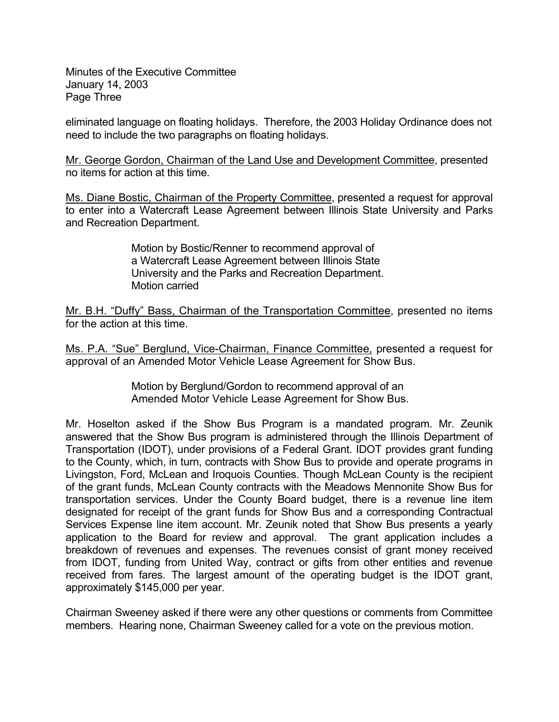Minutes of the Executive Committee January 14, 2003 Page Three

eliminated language on floating holidays. Therefore, the 2003 Holiday Ordinance does not need to include the two paragraphs on floating holidays.

Mr. George Gordon, Chairman of the Land Use and Development Committee, presented no items for action at this time.

Ms. Diane Bostic, Chairman of the Property Committee, presented a request for approval to enter into a Watercraft Lease Agreement between Illinois State University and Parks and Recreation Department.

> Motion by Bostic/Renner to recommend approval of a Watercraft Lease Agreement between Illinois State University and the Parks and Recreation Department. Motion carried

Mr. B.H. "Duffy" Bass, Chairman of the Transportation Committee, presented no items for the action at this time.

Ms. P.A. "Sue" Berglund, Vice-Chairman, Finance Committee, presented a request for approval of an Amended Motor Vehicle Lease Agreement for Show Bus.

> Motion by Berglund/Gordon to recommend approval of an Amended Motor Vehicle Lease Agreement for Show Bus.

Mr. Hoselton asked if the Show Bus Program is a mandated program. Mr. Zeunik answered that the Show Bus program is administered through the Illinois Department of Transportation (IDOT), under provisions of a Federal Grant. IDOT provides grant funding to the County, which, in turn, contracts with Show Bus to provide and operate programs in Livingston, Ford, McLean and Iroquois Counties. Though McLean County is the recipient of the grant funds, McLean County contracts with the Meadows Mennonite Show Bus for transportation services. Under the County Board budget, there is a revenue line item designated for receipt of the grant funds for Show Bus and a corresponding Contractual Services Expense line item account. Mr. Zeunik noted that Show Bus presents a yearly application to the Board for review and approval. The grant application includes a breakdown of revenues and expenses. The revenues consist of grant money received from IDOT, funding from United Way, contract or gifts from other entities and revenue received from fares. The largest amount of the operating budget is the IDOT grant, approximately \$145,000 per year.

Chairman Sweeney asked if there were any other questions or comments from Committee members. Hearing none, Chairman Sweeney called for a vote on the previous motion.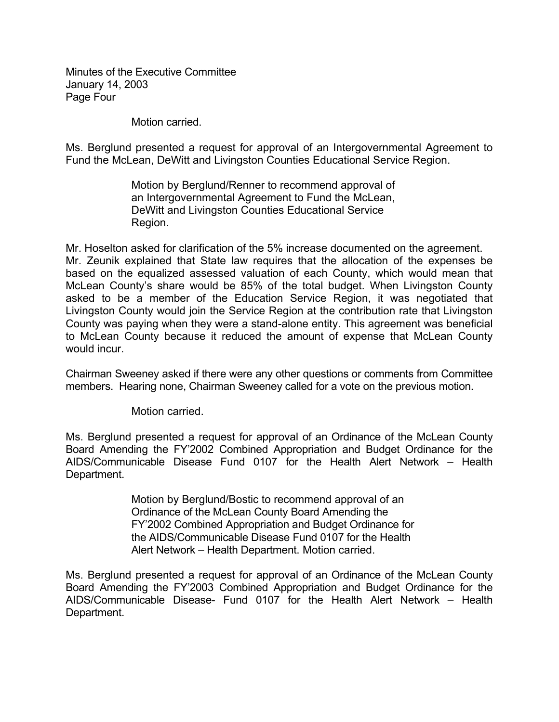Minutes of the Executive Committee January 14, 2003 Page Four

Motion carried.

Ms. Berglund presented a request for approval of an Intergovernmental Agreement to Fund the McLean, DeWitt and Livingston Counties Educational Service Region.

> Motion by Berglund/Renner to recommend approval of an Intergovernmental Agreement to Fund the McLean, DeWitt and Livingston Counties Educational Service Region.

Mr. Hoselton asked for clarification of the 5% increase documented on the agreement. Mr. Zeunik explained that State law requires that the allocation of the expenses be based on the equalized assessed valuation of each County, which would mean that McLean County's share would be 85% of the total budget. When Livingston County asked to be a member of the Education Service Region, it was negotiated that Livingston County would join the Service Region at the contribution rate that Livingston County was paying when they were a stand-alone entity. This agreement was beneficial to McLean County because it reduced the amount of expense that McLean County would incur.

Chairman Sweeney asked if there were any other questions or comments from Committee members. Hearing none, Chairman Sweeney called for a vote on the previous motion.

Motion carried.

Ms. Berglund presented a request for approval of an Ordinance of the McLean County Board Amending the FY'2002 Combined Appropriation and Budget Ordinance for the AIDS/Communicable Disease Fund 0107 for the Health Alert Network – Health Department.

> Motion by Berglund/Bostic to recommend approval of an Ordinance of the McLean County Board Amending the FY'2002 Combined Appropriation and Budget Ordinance for the AIDS/Communicable Disease Fund 0107 for the Health Alert Network – Health Department. Motion carried.

Ms. Berglund presented a request for approval of an Ordinance of the McLean County Board Amending the FY'2003 Combined Appropriation and Budget Ordinance for the AIDS/Communicable Disease- Fund 0107 for the Health Alert Network – Health Department.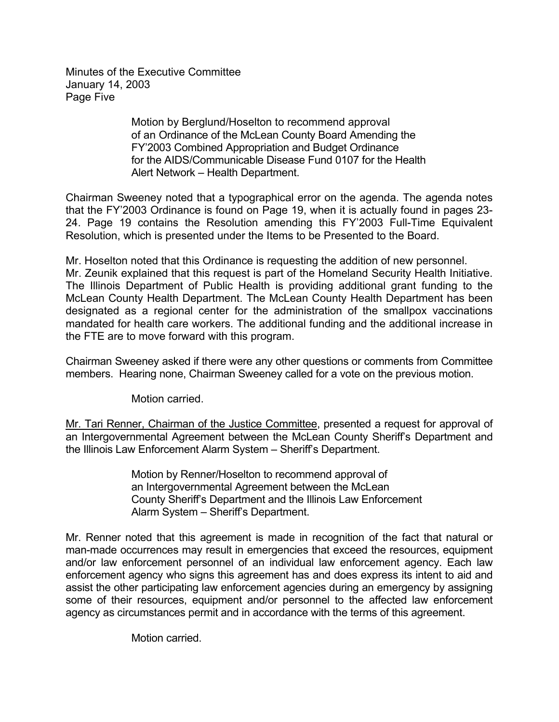Minutes of the Executive Committee January 14, 2003 Page Five

> Motion by Berglund/Hoselton to recommend approval of an Ordinance of the McLean County Board Amending the FY'2003 Combined Appropriation and Budget Ordinance for the AIDS/Communicable Disease Fund 0107 for the Health Alert Network – Health Department.

Chairman Sweeney noted that a typographical error on the agenda. The agenda notes that the FY'2003 Ordinance is found on Page 19, when it is actually found in pages 23- 24. Page 19 contains the Resolution amending this FY'2003 Full-Time Equivalent Resolution, which is presented under the Items to be Presented to the Board.

Mr. Hoselton noted that this Ordinance is requesting the addition of new personnel. Mr. Zeunik explained that this request is part of the Homeland Security Health Initiative. The Illinois Department of Public Health is providing additional grant funding to the McLean County Health Department. The McLean County Health Department has been designated as a regional center for the administration of the smallpox vaccinations mandated for health care workers. The additional funding and the additional increase in the FTE are to move forward with this program.

Chairman Sweeney asked if there were any other questions or comments from Committee members. Hearing none, Chairman Sweeney called for a vote on the previous motion.

Motion carried.

Mr. Tari Renner, Chairman of the Justice Committee, presented a request for approval of an Intergovernmental Agreement between the McLean County Sheriff's Department and the Illinois Law Enforcement Alarm System – Sheriff's Department.

> Motion by Renner/Hoselton to recommend approval of an Intergovernmental Agreement between the McLean County Sheriff's Department and the Illinois Law Enforcement Alarm System – Sheriff's Department.

Mr. Renner noted that this agreement is made in recognition of the fact that natural or man-made occurrences may result in emergencies that exceed the resources, equipment and/or law enforcement personnel of an individual law enforcement agency. Each law enforcement agency who signs this agreement has and does express its intent to aid and assist the other participating law enforcement agencies during an emergency by assigning some of their resources, equipment and/or personnel to the affected law enforcement agency as circumstances permit and in accordance with the terms of this agreement.

Motion carried.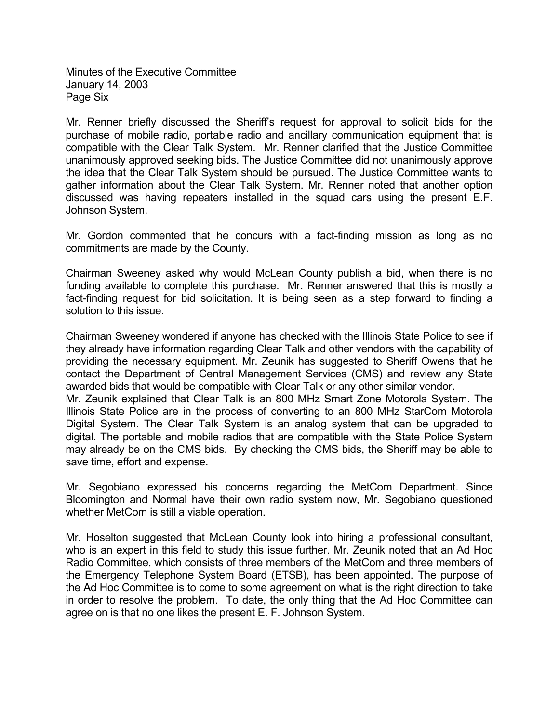Minutes of the Executive Committee January 14, 2003 Page Six

Mr. Renner briefly discussed the Sheriff's request for approval to solicit bids for the purchase of mobile radio, portable radio and ancillary communication equipment that is compatible with the Clear Talk System. Mr. Renner clarified that the Justice Committee unanimously approved seeking bids. The Justice Committee did not unanimously approve the idea that the Clear Talk System should be pursued. The Justice Committee wants to gather information about the Clear Talk System. Mr. Renner noted that another option discussed was having repeaters installed in the squad cars using the present E.F. Johnson System.

Mr. Gordon commented that he concurs with a fact-finding mission as long as no commitments are made by the County.

Chairman Sweeney asked why would McLean County publish a bid, when there is no funding available to complete this purchase. Mr. Renner answered that this is mostly a fact-finding request for bid solicitation. It is being seen as a step forward to finding a solution to this issue.

Chairman Sweeney wondered if anyone has checked with the Illinois State Police to see if they already have information regarding Clear Talk and other vendors with the capability of providing the necessary equipment. Mr. Zeunik has suggested to Sheriff Owens that he contact the Department of Central Management Services (CMS) and review any State awarded bids that would be compatible with Clear Talk or any other similar vendor.

Mr. Zeunik explained that Clear Talk is an 800 MHz Smart Zone Motorola System. The Illinois State Police are in the process of converting to an 800 MHz StarCom Motorola Digital System. The Clear Talk System is an analog system that can be upgraded to digital. The portable and mobile radios that are compatible with the State Police System may already be on the CMS bids. By checking the CMS bids, the Sheriff may be able to save time, effort and expense.

Mr. Segobiano expressed his concerns regarding the MetCom Department. Since Bloomington and Normal have their own radio system now, Mr. Segobiano questioned whether MetCom is still a viable operation.

Mr. Hoselton suggested that McLean County look into hiring a professional consultant, who is an expert in this field to study this issue further. Mr. Zeunik noted that an Ad Hoc Radio Committee, which consists of three members of the MetCom and three members of the Emergency Telephone System Board (ETSB), has been appointed. The purpose of the Ad Hoc Committee is to come to some agreement on what is the right direction to take in order to resolve the problem. To date, the only thing that the Ad Hoc Committee can agree on is that no one likes the present E. F. Johnson System.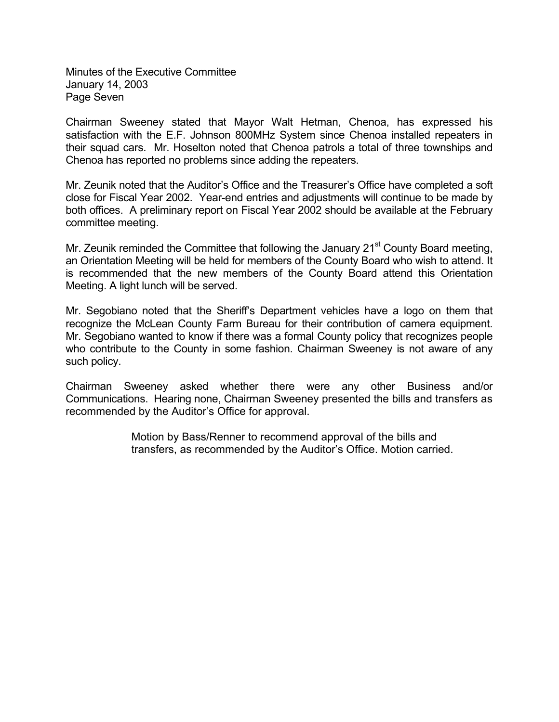Minutes of the Executive Committee January 14, 2003 Page Seven

Chairman Sweeney stated that Mayor Walt Hetman, Chenoa, has expressed his satisfaction with the E.F. Johnson 800MHz System since Chenoa installed repeaters in their squad cars. Mr. Hoselton noted that Chenoa patrols a total of three townships and Chenoa has reported no problems since adding the repeaters.

Mr. Zeunik noted that the Auditor's Office and the Treasurer's Office have completed a soft close for Fiscal Year 2002. Year-end entries and adjustments will continue to be made by both offices. A preliminary report on Fiscal Year 2002 should be available at the February committee meeting.

Mr. Zeunik reminded the Committee that following the January  $21<sup>st</sup>$  County Board meeting, an Orientation Meeting will be held for members of the County Board who wish to attend. It is recommended that the new members of the County Board attend this Orientation Meeting. A light lunch will be served.

Mr. Segobiano noted that the Sheriff's Department vehicles have a logo on them that recognize the McLean County Farm Bureau for their contribution of camera equipment. Mr. Segobiano wanted to know if there was a formal County policy that recognizes people who contribute to the County in some fashion. Chairman Sweeney is not aware of any such policy.

Chairman Sweeney asked whether there were any other Business and/or Communications. Hearing none, Chairman Sweeney presented the bills and transfers as recommended by the Auditor's Office for approval.

> Motion by Bass/Renner to recommend approval of the bills and transfers, as recommended by the Auditor's Office. Motion carried.